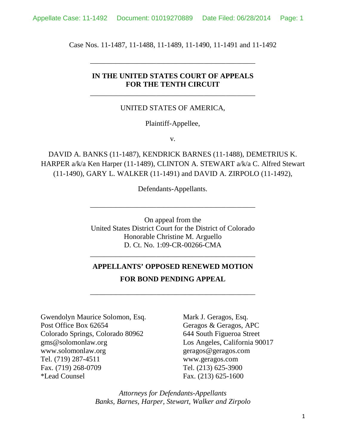Case Nos. 11-1487, 11-1488, 11-1489, 11-1490, 11-1491 and 11-1492

\_\_\_\_\_\_\_\_\_\_\_\_\_\_\_\_\_\_\_\_\_\_\_\_\_\_\_\_\_\_\_\_\_\_\_\_\_\_\_\_\_\_\_\_\_

### **IN THE UNITED STATES COURT OF APPEALS FOR THE TENTH CIRCUIT**

\_\_\_\_\_\_\_\_\_\_\_\_\_\_\_\_\_\_\_\_\_\_\_\_\_\_\_\_\_\_\_\_\_\_\_\_\_\_\_\_\_\_\_\_\_

#### UNITED STATES OF AMERICA,

#### Plaintiff-Appellee,

v.

DAVID A. BANKS (11-1487), KENDRICK BARNES (11-1488), DEMETRIUS K. HARPER a/k/a Ken Harper (11-1489), CLINTON A. STEWART a/k/a C. Alfred Stewart (11-1490), GARY L. WALKER (11-1491) and DAVID A. ZIRPOLO (11-1492),

Defendants-Appellants.

\_\_\_\_\_\_\_\_\_\_\_\_\_\_\_\_\_\_\_\_\_\_\_\_\_\_\_\_\_\_\_\_\_\_\_\_\_\_\_\_\_\_\_\_\_

On appeal from the United States District Court for the District of Colorado Honorable Christine M. Arguello D. Ct. No. 1:09-CR-00266-CMA

## **APPELLANTS' OPPOSED RENEWED MOTION FOR BOND PENDING APPEAL**

\_\_\_\_\_\_\_\_\_\_\_\_\_\_\_\_\_\_\_\_\_\_\_\_\_\_\_\_\_\_\_\_\_\_\_\_\_\_\_\_\_\_\_\_\_

\_\_\_\_\_\_\_\_\_\_\_\_\_\_\_\_\_\_\_\_\_\_\_\_\_\_\_\_\_\_\_\_\_\_\_\_\_\_\_\_\_\_\_\_\_ Gwendolyn Maurice Solomon, Esq. Mark J. Geragos, Esq. Post Office Box 62654 Geragos & Geragos, APC Colorado Springs, Colorado 80962 644 South Figueroa Street

gms@solomonlaw.org Los Angeles, California 90017 www.solomonlaw.org geragos@geragos.com Tel. (719) 287-4511 www.geragos.com Fax. (719) 268-0709 Tel. (213) 625-3900 \*Lead Counsel Fax. (213) 625-1600

> *Attorneys for Defendants-Appellants Banks, Barnes, Harper, Stewart, Walker and Zirpolo*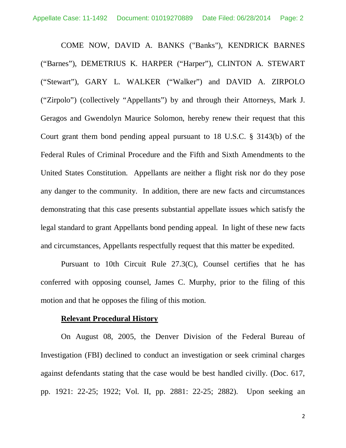COME NOW, DAVID A. BANKS ("Banks"), KENDRICK BARNES ("Barnes"), DEMETRIUS K. HARPER ("Harper"), CLINTON A. STEWART ("Stewart"), GARY L. WALKER ("Walker") and DAVID A. ZIRPOLO ("Zirpolo") (collectively "Appellants") by and through their Attorneys, Mark J. Geragos and Gwendolyn Maurice Solomon, hereby renew their request that this Court grant them bond pending appeal pursuant to 18 U.S.C. § 3143(b) of the Federal Rules of Criminal Procedure and the Fifth and Sixth Amendments to the United States Constitution. Appellants are neither a flight risk nor do they pose any danger to the community. In addition, there are new facts and circumstances demonstrating that this case presents substantial appellate issues which satisfy the legal standard to grant Appellants bond pending appeal. In light of these new facts and circumstances, Appellants respectfully request that this matter be expedited.

Pursuant to 10th Circuit Rule 27.3(C), Counsel certifies that he has conferred with opposing counsel, James C. Murphy, prior to the filing of this motion and that he opposes the filing of this motion.

#### **Relevant Procedural History**

On August 08, 2005, the Denver Division of the Federal Bureau of Investigation (FBI) declined to conduct an investigation or seek criminal charges against defendants stating that the case would be best handled civilly. (Doc. 617, pp. 1921: 22-25; 1922; Vol. II, pp. 2881: 22-25; 2882). Upon seeking an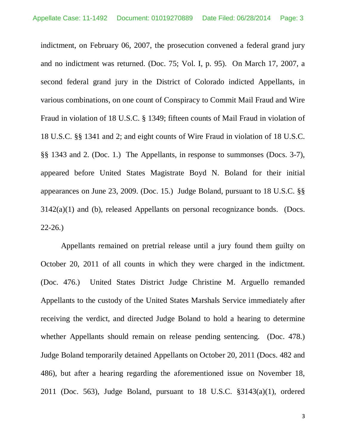indictment, on February 06, 2007, the prosecution convened a federal grand jury and no indictment was returned. (Doc. 75; Vol. I, p. 95). On March 17, 2007, a second federal grand jury in the District of Colorado indicted Appellants, in various combinations, on one count of Conspiracy to Commit Mail Fraud and Wire Fraud in violation of 18 U.S.C. § 1349; fifteen counts of Mail Fraud in violation of 18 U.S.C. §§ 1341 and 2; and eight counts of Wire Fraud in violation of 18 U.S.C. §§ 1343 and 2. (Doc. 1.) The Appellants, in response to summonses (Docs. 3-7), appeared before United States Magistrate Boyd N. Boland for their initial appearances on June 23, 2009. (Doc. 15.) Judge Boland, pursuant to 18 U.S.C. §§  $3142(a)(1)$  and (b), released Appellants on personal recognizance bonds. (Docs. 22-26.)

Appellants remained on pretrial release until a jury found them guilty on October 20, 2011 of all counts in which they were charged in the indictment. (Doc. 476.) United States District Judge Christine M. Arguello remanded Appellants to the custody of the United States Marshals Service immediately after receiving the verdict, and directed Judge Boland to hold a hearing to determine whether Appellants should remain on release pending sentencing. (Doc. 478.) Judge Boland temporarily detained Appellants on October 20, 2011 (Docs. 482 and 486), but after a hearing regarding the aforementioned issue on November 18, 2011 (Doc. 563), Judge Boland, pursuant to  $18$  U.S.C.  $\S 3143(a)(1)$ , ordered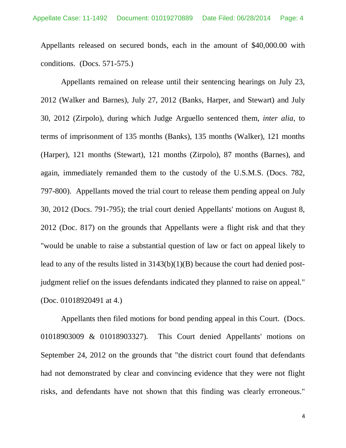Appellants released on secured bonds, each in the amount of \$40,000.00 with conditions. (Docs. 571-575.)

Appellants remained on release until their sentencing hearings on July 23, 2012 (Walker and Barnes), July 27, 2012 (Banks, Harper, and Stewart) and July 30, 2012 (Zirpolo), during which Judge Arguello sentenced them, *inter alia*, to terms of imprisonment of 135 months (Banks), 135 months (Walker), 121 months (Harper), 121 months (Stewart), 121 months (Zirpolo), 87 months (Barnes), and again, immediately remanded them to the custody of the U.S.M.S. (Docs. 782, 797-800). Appellants moved the trial court to release them pending appeal on July 30, 2012 (Docs. 791-795); the trial court denied Appellants' motions on August 8, 2012 (Doc. 817) on the grounds that Appellants were a flight risk and that they "would be unable to raise a substantial question of law or fact on appeal likely to lead to any of the results listed in 3143(b)(1)(B) because the court had denied postjudgment relief on the issues defendants indicated they planned to raise on appeal." (Doc. 01018920491 at 4.)

Appellants then filed motions for bond pending appeal in this Court. (Docs. 01018903009 & 01018903327). This Court denied Appellants' motions on September 24, 2012 on the grounds that "the district court found that defendants had not demonstrated by clear and convincing evidence that they were not flight risks, and defendants have not shown that this finding was clearly erroneous."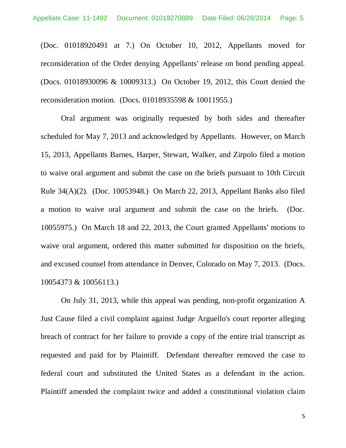(Doc. 01018920491 at 7.) On October 10, 2012, Appellants moved for reconsideration of the Order denying Appellants' release on bond pending appeal. (Docs. 01018930096 & 10009313.) On October 19, 2012, this Court denied the reconsideration motion. (Docs. 01018935598 & 10011955.)

Oral argument was originally requested by both sides and thereafter scheduled for May 7, 2013 and acknowledged by Appellants. However, on March 15, 2013, Appellants Barnes, Harper, Stewart, Walker, and Zirpolo filed a motion to waive oral argument and submit the case on the briefs pursuant to 10th Circuit Rule 34(A)(2). (Doc. 10053948.) On March 22, 2013, Appellant Banks also filed a motion to waive oral argument and submit the case on the briefs. (Doc. 10055975.) On March 18 and 22, 2013, the Court granted Appellants' motions to waive oral argument, ordered this matter submitted for disposition on the briefs, and excused counsel from attendance in Denver, Colorado on May 7, 2013. (Docs. 10054373 & 10056113.)

On July 31, 2013, while this appeal was pending, non-profit organization A Just Cause filed a civil complaint against Judge Arguello's court reporter alleging breach of contract for her failure to provide a copy of the entire trial transcript as requested and paid for by Plaintiff. Defendant thereafter removed the case to federal court and substituted the United States as a defendant in the action. Plaintiff amended the complaint twice and added a constitutional violation claim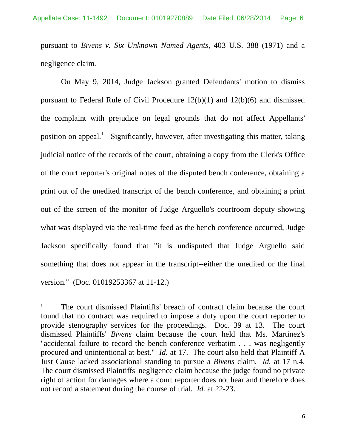pursuant to *Bivens v. Six Unknown Named Agents*, 403 U.S. 388 (1971) and a negligence claim.

On May 9, 2014, Judge Jackson granted Defendants' motion to dismiss pursuant to Federal Rule of Civil Procedure 12(b)(1) and 12(b)(6) and dismissed the complaint with prejudice on legal grounds that do not affect Appellants' position on appeal.<sup>1</sup> Significantly, however, after investigating this matter, taking judicial notice of the records of the court, obtaining a copy from the Clerk's Office of the court reporter's original notes of the disputed bench conference, obtaining a print out of the unedited transcript of the bench conference, and obtaining a print out of the screen of the monitor of Judge Arguello's courtroom deputy showing what was displayed via the real-time feed as the bench conference occurred, Judge Jackson specifically found that "it is undisputed that Judge Arguello said something that does not appear in the transcript--either the unedited or the final version." (Doc. 01019253367 at 11-12.)

<sup>&</sup>lt;sup>1</sup> The court dismissed Plaintiffs' breach of contract claim because the court found that no contract was required to impose a duty upon the court reporter to provide stenography services for the proceedings. Doc. 39 at 13. The court dismissed Plaintiffs' *Bivens* claim because the court held that Ms. Martinez's "accidental failure to record the bench conference verbatim . . . was negligently procured and unintentional at best." *Id.* at 17. The court also held that Plaintiff A Just Cause lacked associational standing to pursue a *Bivens* claim. *Id.* at 17 n.4. The court dismissed Plaintiffs' negligence claim because the judge found no private right of action for damages where a court reporter does not hear and therefore does not record a statement during the course of trial. *Id.* at 22-23.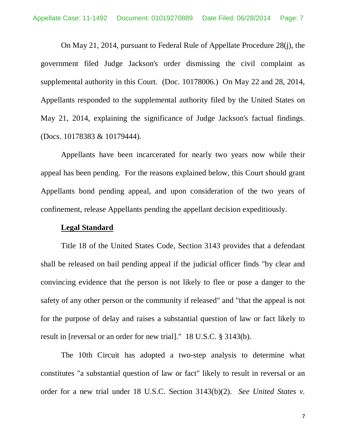On May 21, 2014, pursuant to Federal Rule of Appellate Procedure 28(j), the government filed Judge Jackson's order dismissing the civil complaint as supplemental authority in this Court. (Doc. 10178006.) On May 22 and 28, 2014, Appellants responded to the supplemental authority filed by the United States on May 21, 2014, explaining the significance of Judge Jackson's factual findings. (Docs. 10178383 & 10179444).

Appellants have been incarcerated for nearly two years now while their appeal has been pending. For the reasons explained below, this Court should grant Appellants bond pending appeal, and upon consideration of the two years of confinement, release Appellants pending the appellant decision expeditiously.

### **Legal Standard**

Title 18 of the United States Code, Section 3143 provides that a defendant shall be released on bail pending appeal if the judicial officer finds "by clear and convincing evidence that the person is not likely to flee or pose a danger to the safety of any other person or the community if released" and "that the appeal is not for the purpose of delay and raises a substantial question of law or fact likely to result in [reversal or an order for new trial]." 18 U.S.C. § 3143(b).

The 10th Circuit has adopted a two-step analysis to determine what constitutes "a substantial question of law or fact" likely to result in reversal or an order for a new trial under 18 U.S.C. Section 3143(b)(2). *See United States v.*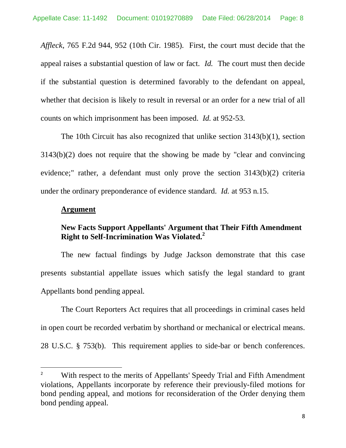*Affleck*, 765 F.2d 944, 952 (10th Cir. 1985). First, the court must decide that the appeal raises a substantial question of law or fact. *Id.* The court must then decide if the substantial question is determined favorably to the defendant on appeal, whether that decision is likely to result in reversal or an order for a new trial of all counts on which imprisonment has been imposed. *Id.* at 952-53.

The 10th Circuit has also recognized that unlike section 3143(b)(1), section 3143(b)(2) does not require that the showing be made by "clear and convincing evidence;" rather, a defendant must only prove the section 3143(b)(2) criteria under the ordinary preponderance of evidence standard. *Id.* at 953 n.15.

### **Argument**

### **New Facts Support Appellants' Argument that Their Fifth Amendment Right to Self-Incrimination Was Violated.<sup>2</sup>**

The new factual findings by Judge Jackson demonstrate that this case presents substantial appellate issues which satisfy the legal standard to grant Appellants bond pending appeal.

The Court Reporters Act requires that all proceedings in criminal cases held in open court be recorded verbatim by shorthand or mechanical or electrical means. 28 U.S.C. § 753(b). This requirement applies to side-bar or bench conferences.

<sup>&</sup>lt;sup>2</sup> With respect to the merits of Appellants' Speedy Trial and Fifth Amendment violations, Appellants incorporate by reference their previously-filed motions for bond pending appeal, and motions for reconsideration of the Order denying them bond pending appeal.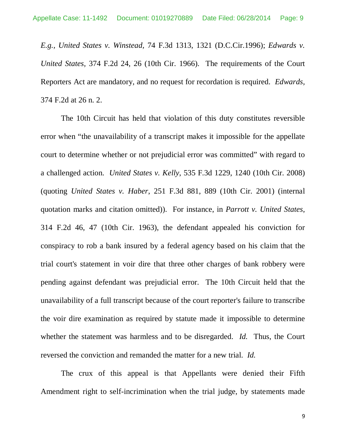*E.g., United States v. Winstead,* 74 F.3d 1313, 1321 (D.C.Cir.1996); *Edwards v. United States,* 374 F.2d 24, 26 (10th Cir. 1966). The requirements of the Court Reporters Act are mandatory, and no request for recordation is required. *Edwards,* 374 F.2d at 26 n. 2.

The 10th Circuit has held that violation of this duty constitutes reversible error when "the unavailability of a transcript makes it impossible for the appellate court to determine whether or not prejudicial error was committed" with regard to a challenged action. *United States v. Kelly*, 535 F.3d 1229, 1240 (10th Cir. 2008) (quoting *United States v. Haber*, 251 F.3d 881, 889 (10th Cir. 2001) (internal quotation marks and citation omitted)). For instance, in *Parrott v. United States*, 314 F.2d 46, 47 (10th Cir. 1963), the defendant appealed his conviction for conspiracy to rob a bank insured by a federal agency based on his claim that the trial court's statement in voir dire that three other charges of bank robbery were pending against defendant was prejudicial error. The 10th Circuit held that the unavailability of a full transcript because of the court reporter's failure to transcribe the voir dire examination as required by statute made it impossible to determine whether the statement was harmless and to be disregarded. *Id.* Thus, the Court reversed the conviction and remanded the matter for a new trial. *Id.*

The crux of this appeal is that Appellants were denied their Fifth Amendment right to self-incrimination when the trial judge, by statements made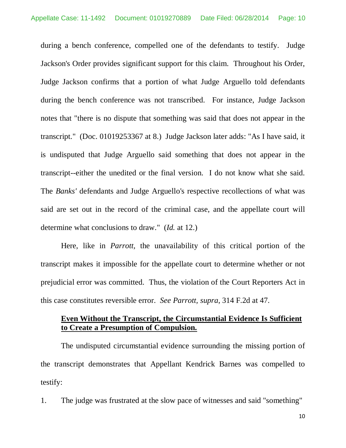during a bench conference, compelled one of the defendants to testify. Judge Jackson's Order provides significant support for this claim. Throughout his Order, Judge Jackson confirms that a portion of what Judge Arguello told defendants during the bench conference was not transcribed. For instance, Judge Jackson notes that "there is no dispute that something was said that does not appear in the transcript." (Doc. 01019253367 at 8.) Judge Jackson later adds: "As I have said, it is undisputed that Judge Arguello said something that does not appear in the transcript--either the unedited or the final version. I do not know what she said. The *Banks'* defendants and Judge Arguello's respective recollections of what was said are set out in the record of the criminal case, and the appellate court will determine what conclusions to draw." (*Id.* at 12.)

Here, like in *Parrott,* the unavailability of this critical portion of the transcript makes it impossible for the appellate court to determine whether or not prejudicial error was committed. Thus, the violation of the Court Reporters Act in this case constitutes reversible error. *See Parrott, supra*, 314 F.2d at 47.

### **Even Without the Transcript, the Circumstantial Evidence Is Sufficient to Create a Presumption of Compulsion.**

The undisputed circumstantial evidence surrounding the missing portion of the transcript demonstrates that Appellant Kendrick Barnes was compelled to testify:

1. The judge was frustrated at the slow pace of witnesses and said "something"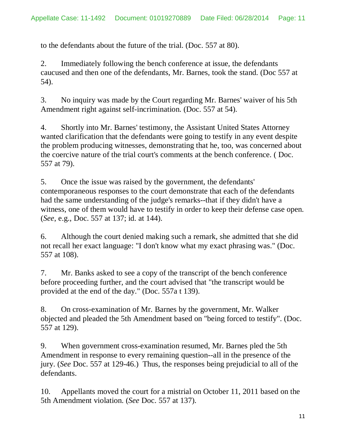to the defendants about the future of the trial. (Doc. 557 at 80).

2. Immediately following the bench conference at issue, the defendants caucused and then one of the defendants, Mr. Barnes, took the stand. (Doc 557 at 54).

3. No inquiry was made by the Court regarding Mr. Barnes' waiver of his 5th Amendment right against self-incrimination. (Doc. 557 at 54).

4. Shortly into Mr. Barnes' testimony, the Assistant United States Attorney wanted clarification that the defendants were going to testify in any event despite the problem producing witnesses, demonstrating that he, too, was concerned about the coercive nature of the trial court's comments at the bench conference. ( Doc. 557 at 79).

5. Once the issue was raised by the government, the defendants' contemporaneous responses to the court demonstrate that each of the defendants had the same understanding of the judge's remarks--that if they didn't have a witness, one of them would have to testify in order to keep their defense case open. (*See*, e.g., Doc. 557 at 137; id. at 144).

6. Although the court denied making such a remark, she admitted that she did not recall her exact language: "I don't know what my exact phrasing was." (Doc. 557 at 108).

7. Mr. Banks asked to see a copy of the transcript of the bench conference before proceeding further, and the court advised that "the transcript would be provided at the end of the day." (Doc. 557a t 139).

8. On cross-examination of Mr. Barnes by the government, Mr. Walker objected and pleaded the 5th Amendment based on "being forced to testify". (Doc. 557 at 129).

9. When government cross-examination resumed, Mr. Barnes pled the 5th Amendment in response to every remaining question--all in the presence of the jury. (*See* Doc. 557 at 129-46.) Thus, the responses being prejudicial to all of the defendants.

10. Appellants moved the court for a mistrial on October 11, 2011 based on the 5th Amendment violation. (*See* Doc. 557 at 137).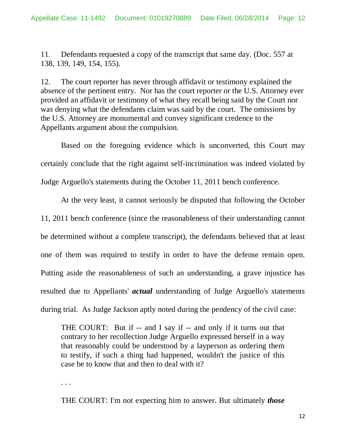11. Defendants requested a copy of the transcript that same day. (Doc. 557 at 138, 139, 149, 154, 155).

12. The court reporter has never through affidavit or testimony explained the absence of the pertinent entry. Nor has the court reporter or the U.S. Attorney ever provided an affidavit or testimony of what they recall being said by the Court nor was denying what the defendants claim was said by the court. The omissions by the U.S. Attorney are monumental and convey significant credence to the Appellants argument about the compulsion.

Based on the foregoing evidence which is unconverted, this Court may certainly conclude that the right against self-incrimination was indeed violated by Judge Arguello's statements during the October 11, 2011 bench conference.

At the very least, it cannot seriously be disputed that following the October 11, 2011 bench conference (since the reasonableness of their understanding cannot be determined without a complete transcript), the defendants believed that at least one of them was required to testify in order to have the defense remain open. Putting aside the reasonableness of such an understanding, a grave injustice has resulted due to Appellants' *actual* understanding of Judge Arguello's statements during trial. As Judge Jackson aptly noted during the pendency of the civil case:

THE COURT: But if -- and I say if -- and only if it turns out that contrary to her recollection Judge Arguello expressed herself in a way that reasonably could be understood by a layperson as ordering them to testify, if such a thing had happened, wouldn't the justice of this case be to know that and then to deal with it?

. . .

THE COURT: I'm not expecting him to answer. But ultimately *those*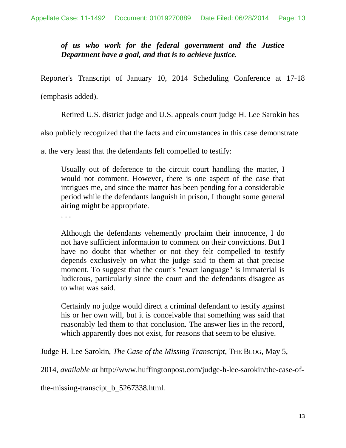*of us who work for the federal government and the Justice Department have a goal, and that is to achieve justice.*

Reporter's Transcript of January 10, 2014 Scheduling Conference at 17-18

(emphasis added).

Retired U.S. district judge and U.S. appeals court judge H. Lee Sarokin has

also publicly recognized that the facts and circumstances in this case demonstrate

at the very least that the defendants felt compelled to testify:

Usually out of deference to the circuit court handling the matter, I would not comment. However, there is one aspect of the case that intrigues me, and since the matter has been pending for a considerable period while the defendants languish in prison, I thought some general airing might be appropriate.

. . .

Although the defendants vehemently proclaim their innocence, I do not have sufficient information to comment on their convictions. But I have no doubt that whether or not they felt compelled to testify depends exclusively on what the judge said to them at that precise moment. To suggest that the court's "exact language" is immaterial is ludicrous, particularly since the court and the defendants disagree as to what was said.

Certainly no judge would direct a criminal defendant to testify against his or her own will, but it is conceivable that something was said that reasonably led them to that conclusion. The answer lies in the record, which apparently does not exist, for reasons that seem to be elusive.

Judge H. Lee Sarokin, *The Case of the Missing Transcript*, THE BLOG, May 5,

2014, *available at* http://www.huffingtonpost.com/judge-h-lee-sarokin/the-case-of-

the-missing-transcipt\_b\_5267338.html.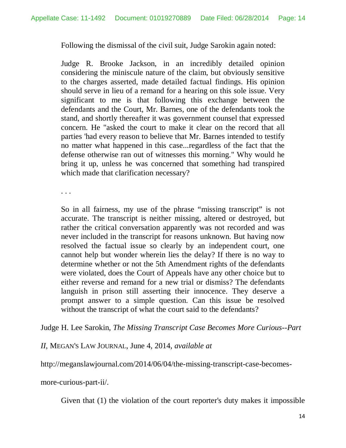Following the dismissal of the civil suit, Judge Sarokin again noted:

Judge R. Brooke Jackson, in an incredibly detailed opinion considering the miniscule nature of the claim, but obviously sensitive to the charges asserted, made detailed factual findings. His opinion should serve in lieu of a remand for a hearing on this sole issue. Very significant to me is that following this exchange between the defendants and the Court, Mr. Barnes, one of the defendants took the stand, and shortly thereafter it was government counsel that expressed concern. He "asked the court to make it clear on the record that all parties 'had every reason to believe that Mr. Barnes intended to testify no matter what happened in this case...regardless of the fact that the defense otherwise ran out of witnesses this morning." Why would he bring it up, unless he was concerned that something had transpired which made that clarification necessary?

. . .

So in all fairness, my use of the phrase "missing transcript" is not accurate. The transcript is neither missing, altered or destroyed, but rather the critical conversation apparently was not recorded and was never included in the transcript for reasons unknown. But having now resolved the factual issue so clearly by an independent court, one cannot help but wonder wherein lies the delay? If there is no way to determine whether or not the 5th Amendment rights of the defendants were violated, does the Court of Appeals have any other choice but to either reverse and remand for a new trial or dismiss? The defendants languish in prison still asserting their innocence. They deserve a prompt answer to a simple question. Can this issue be resolved without the transcript of what the court said to the defendants?

Judge H. Lee Sarokin, *The Missing Transcript Case Becomes More Curious--Part*

*II*, MEGAN'S LAW JOURNAL, June 4, 2014, *available at*

http://meganslawjournal.com/2014/06/04/the-missing-transcript-case-becomes-

more-curious-part-ii/.

Given that (1) the violation of the court reporter's duty makes it impossible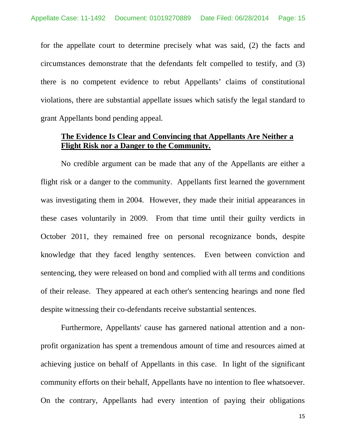for the appellate court to determine precisely what was said, (2) the facts and circumstances demonstrate that the defendants felt compelled to testify, and (3) there is no competent evidence to rebut Appellants' claims of constitutional violations, there are substantial appellate issues which satisfy the legal standard to grant Appellants bond pending appeal.

### **The Evidence Is Clear and Convincing that Appellants Are Neither a Flight Risk nor a Danger to the Community.**

No credible argument can be made that any of the Appellants are either a flight risk or a danger to the community. Appellants first learned the government was investigating them in 2004. However, they made their initial appearances in these cases voluntarily in 2009. From that time until their guilty verdicts in October 2011, they remained free on personal recognizance bonds, despite knowledge that they faced lengthy sentences. Even between conviction and sentencing, they were released on bond and complied with all terms and conditions of their release. They appeared at each other's sentencing hearings and none fled despite witnessing their co-defendants receive substantial sentences.

Furthermore, Appellants' cause has garnered national attention and a nonprofit organization has spent a tremendous amount of time and resources aimed at achieving justice on behalf of Appellants in this case. In light of the significant community efforts on their behalf, Appellants have no intention to flee whatsoever. On the contrary, Appellants had every intention of paying their obligations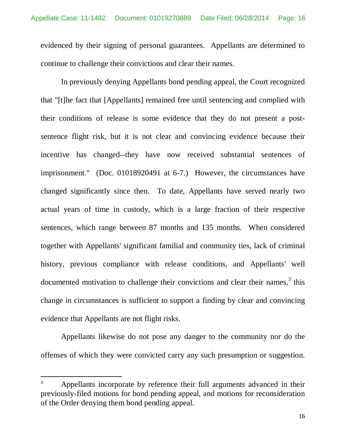evidenced by their signing of personal guarantees. Appellants are determined to continue to challenge their convictions and clear their names.

In previously denying Appellants bond pending appeal, the Court recognized that "[t]he fact that [Appellants] remained free until sentencing and complied with their conditions of release is some evidence that they do not present a postsentence flight risk, but it is not clear and convincing evidence because their incentive has changed--they have now received substantial sentences of imprisonment." (Doc. 01018920491 at 6-7.) However, the circumstances have changed significantly since then. To date, Appellants have served nearly two actual years of time in custody, which is a large fraction of their respective sentences, which range between 87 months and 135 months. When considered together with Appellants' significant familial and community ties, lack of criminal history, previous compliance with release conditions, and Appellants' well documented motivation to challenge their convictions and clear their names, $3$  this change in circumstances is sufficient to support a finding by clear and convincing evidence that Appellants are not flight risks.

Appellants likewise do not pose any danger to the community nor do the offenses of which they were convicted carry any such presumption or suggestion.

<sup>&</sup>lt;sup>3</sup> Appellants incorporate by reference their full arguments advanced in their previously-filed motions for bond pending appeal, and motions for reconsideration of the Order denying them bond pending appeal.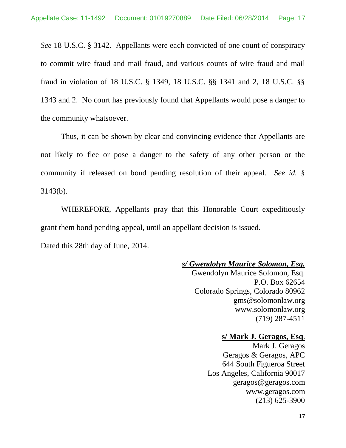*See* 18 U.S.C. § 3142. Appellants were each convicted of one count of conspiracy to commit wire fraud and mail fraud, and various counts of wire fraud and mail fraud in violation of 18 U.S.C. § 1349, 18 U.S.C. §§ 1341 and 2, 18 U.S.C. §§ 1343 and 2. No court has previously found that Appellants would pose a danger to the community whatsoever.

Thus, it can be shown by clear and convincing evidence that Appellants are not likely to flee or pose a danger to the safety of any other person or the community if released on bond pending resolution of their appeal. *See id.* § 3143(b).

WHEREFORE, Appellants pray that this Honorable Court expeditiously grant them bond pending appeal, until an appellant decision is issued.

Dated this 28th day of June, 2014.

#### *s/ Gwendolyn Maurice Solomon, Esq.*

Gwendolyn Maurice Solomon, Esq. P.O. Box 62654 Colorado Springs, Colorado 80962 gms@solomonlaw.org www.solomonlaw.org (719) 287-4511

#### **s/ Mark J. Geragos, Esq**.

Mark J. Geragos Geragos & Geragos, APC 644 South Figueroa Street Los Angeles, California 90017 geragos@geragos.com www.geragos.com (213) 625-3900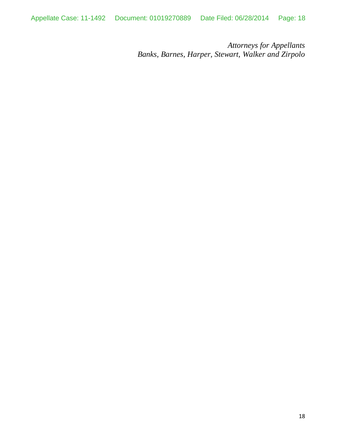*Attorneys for Appellants Banks, Barnes, Harper, Stewart, Walker and Zirpolo*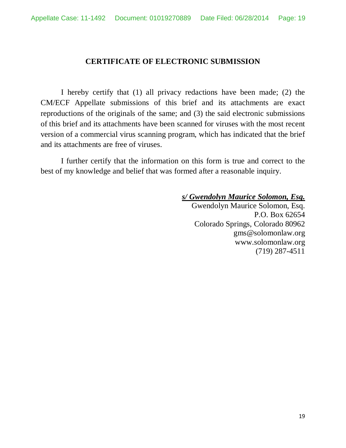### **CERTIFICATE OF ELECTRONIC SUBMISSION**

I hereby certify that (1) all privacy redactions have been made; (2) the CM/ECF Appellate submissions of this brief and its attachments are exact reproductions of the originals of the same; and (3) the said electronic submissions of this brief and its attachments have been scanned for viruses with the most recent version of a commercial virus scanning program, which has indicated that the brief and its attachments are free of viruses.

I further certify that the information on this form is true and correct to the best of my knowledge and belief that was formed after a reasonable inquiry.

*s/ Gwendolyn Maurice Solomon, Esq.*

Gwendolyn Maurice Solomon, Esq. P.O. Box 62654 Colorado Springs, Colorado 80962 gms@solomonlaw.org www.solomonlaw.org (719) 287-4511